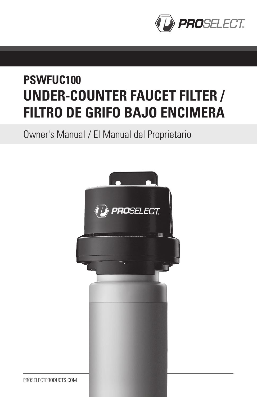

# **PSWFUC100 UNDER-COUNTER FAUCET FILTER / FILTRO DE GRIFO BAJO ENCIMERA**

Owner's Manual / El Manual del Proprietario



PROSELECTPRODUCTS.COM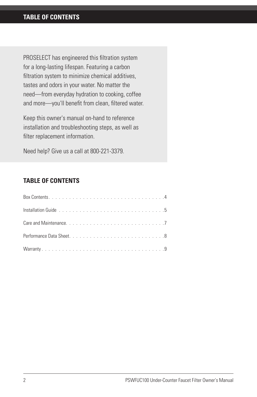PROSELECT has engineered this filtration system for a long-lasting lifespan. Featuring a carbon filtration system to minimize chemical additives, tastes and odors in your water. No matter the need—from everyday hydration to cooking, coffee and more—you'll benefit from clean, filtered water.

Keep this owner's manual on-hand to reference installation and troubleshooting steps, as well as filter replacement information.

Need help? Give us a call at 800-221-3379.

## **TABLE OF CONTENTS**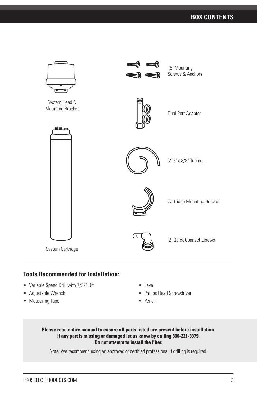

## **Tools Recommended for Installation:**

- Variable Speed Drill with 7/32" Bit
- Adjustable Wrench
- Measuring Tape
- Level
- Philips Head Screwdriver
- Pencil

#### **Please read entire manual to ensure all parts listed are present before installation. If any part is missing or damaged let us know by calling 800-221-3379. Do not attempt to install the filter.**

Note: We recommend using an approved or certified professional if drilling is required.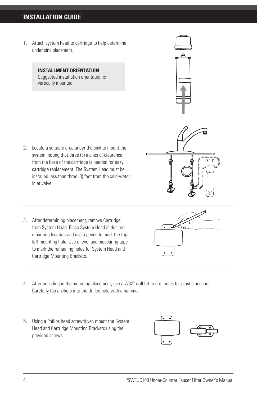# **INSTALLATION GUIDE**

1. Attach system head to cartridge to help determine under sink placement.

#### **INSTALLMENT ORIENTATION**: Suggested installation orientation is vertically mounted.



- 2. Locate a suitable area under the sink to mount the system, noting that three (3) inches of clearance from the base of the cartridge is needed for easy cartridge replacement. The System Head must be installed less than three (3) feet from the cold-water inlet valve.
- 3. After determining placement, remove Cartridge from System Head. Place System Head in desired mounting location and use a pencil to mark the top left mounting hole. Use a level and measuring tape to mark the remaining holes for System Head and Cartridge Mounting Brackets.
- 4. After penciling in the mounting placement, use a 7/32" drill bit to drill holes for plastic anchors. Carefully tap anchors into the drilled hole with a hammer.
- 5. Using a Philips head screwdriver, mount the System Head and Cartridge Mounting Brackets using the provided screws.





3"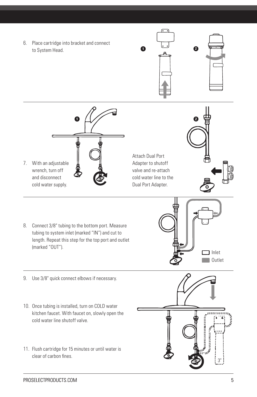6. Place cartridge into bracket and connect to System Head.





Attach Dual Port Adapter to shutoff valve and re-attach cold water line to the Dual Port Adapter.



8. Connect 3/8" tubing to the bottom port. Measure tubing to system inlet (marked "IN") and cut to length. Repeat this step for the top port and outlet (marked "OUT").



- 9. Use 3/8" quick connect elbows if necessary.
- 10. Once tubing is installed, turn on COLD water kitchen faucet. With faucet on, slowly open the cold water line shutoff valve.
- 11. Flush cartridge for 15 minutes or until water is clear of carbon fines.

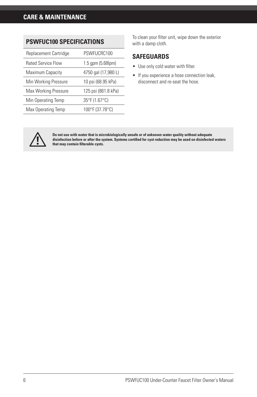| Replacement Cartridge     | PSWFUCRC100               |  |  |  |  |
|---------------------------|---------------------------|--|--|--|--|
| <b>Rated Service Flow</b> | $1.5$ gpm $(5.68$ lpm $)$ |  |  |  |  |
| Maximum Capacity          | 4750 gal (17,980 L)       |  |  |  |  |
| Min Working Pressure      | 10 psi (68.95 kPa)        |  |  |  |  |
| Max Working Pressure      | 125 psi (861.8 kPa)       |  |  |  |  |
| Min Operating Temp        | 35°F (1.67°C)             |  |  |  |  |
| Max Operating Temp        | 100°F (37.78°C)           |  |  |  |  |

**PSWFUC100 SPECIFICATIONS**

To clean your filter unit, wipe down the exterior with a damp cloth.

#### **SAFEGUARDS**

- Use only cold water with filter.
- If you experience a hose connection leak, disconnect and re-seat the hose.



Do not use with water that is microbiologically unsafe or of unknown water quality without adequate<br>disinfection before or after the system. Systems certified for cyst reduction may be used on disinfected waters **that may contain filterable cysts.**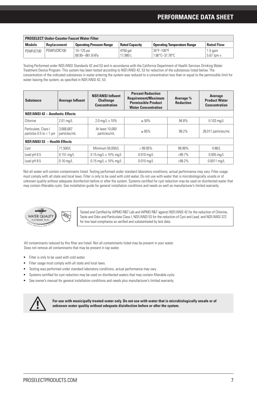## **PERFORMANCE DATA SHEET**

| <b>PROSELECT Under-Counter Faucet Water Filter</b> |             |                                 |                       |                                                   |                         |  |
|----------------------------------------------------|-------------|---------------------------------|-----------------------|---------------------------------------------------|-------------------------|--|
| <b>Models</b>                                      | Replacement | <b>Operating Pressure Range</b> | <b>Rated Capacity</b> | <b>Operating Temperature Range</b>                | <b>Rated Flow</b>       |  |
| PSWFUC100                                          | PSWEUCRC100 | 10-125 psi<br>68.95-861.8 kPa   | 4750 gal<br>17.980L   | 35°F-100°F<br>$1.66^{\circ}$ C $-37.78^{\circ}$ C | $1.5$ gpm<br>5.67 lpm v |  |

Testing Performed under NSF/ANSI Standards 42 and 53 and in accordance with the California Department of Health Services Drinking Water Treatment Device Program. This system has been tested according to NSF/ANSI 42, 53 for reduction of the substances listed below. The concentration of the indicated substances in water entering the system was reduced to a concentration less than or equal to the permissible limit for water leaving the system, as specified in NSF/ANSI 42, 53.

| <b>Substance</b>                                    | <b>Average Influent</b>                | <b>NSF/ANSI Influent</b><br><b>Challenge</b><br><b>Concentration</b> | <b>Percent Reduction</b><br><b>Requirement/Maximum</b><br><b>Permissible Product</b><br><b>Water Concentration</b> | Average %<br><b>Reduction</b> | Average<br><b>Product Water</b><br><b>Concentration</b> |  |  |
|-----------------------------------------------------|----------------------------------------|----------------------------------------------------------------------|--------------------------------------------------------------------------------------------------------------------|-------------------------------|---------------------------------------------------------|--|--|
|                                                     | <b>NSF/ANSI 42 - Aesthetic Effects</b> |                                                                      |                                                                                                                    |                               |                                                         |  |  |
| Chlorine                                            | $2.01$ ma/L                            | $2.0 \text{ mg/L} \pm 10\%$                                          | $\geq 50\%$                                                                                                        | 94.8%                         | $0.103$ mg/L                                            |  |  |
| Particulate, Class I<br>particles $0.5$ to $<$ 1 µm | 3.666.667<br>particles/mL              | At least 10,000<br>particles/mL                                      | $\geq 85\%$                                                                                                        | 99.2%                         | 28,017 particles/mL                                     |  |  |
| <b>NSF/ANSI 53 - Health Effects</b>                 |                                        |                                                                      |                                                                                                                    |                               |                                                         |  |  |
| Cyst                                                | 71.500/L                               | Minimum 50,000/L                                                     | >99.95%                                                                                                            | 99.99%                        | 4.88/L                                                  |  |  |
| Lead pH 6.5                                         | $0.151$ ma/L                           | $0.15$ ma/L $\pm$ 10% ma/L                                           | $0.010$ ma/L                                                                                                       | $>99.7\%$                     | $0.005 \,\mathrm{mq/L}$                                 |  |  |
| Lead pH 8.5                                         | $0.16$ mg/L                            | $0.15$ mg/L $\pm$ 10% mg/L                                           | $0.010$ ma/L                                                                                                       | $>99.2\%$                     | $0.0011$ ma/L                                           |  |  |

Not all water will contain contaminants listed. Testing performed under standard laboratory conditions; actual performance may vary. Filter usage must comply with all state and local laws. Filter is only to be used with cold water. Do not use with water that is microbiologically unsafe or of unknown quality without adequate disinfection before or after the system. Systems certified for cyst reduction may be used on disinfected water that may contain filterable cysts. See installation guide for general installation conditions and needs as well as manufacturer's limited warranty.



Tested and Certified by IAPMO R&T Lab and IAPMO R&T against NSF/ANSI 42 for the reduction of Chlorine, Taste and Odor and Particulate Class I; NSF/ANSI 53 for the reduction of Cyst and Lead; and NSF/ANSI 372 for low lead compliance as verified and substantiated by test data.

All contaminants reduced by this filter are listed. Not all contaminants listed may be present in your water. Does not remove all contaminants that may be present in tap water.

- Filter is only to be used with cold water.
- Filter usage must comply with all state and local laws.
- Testing was performed under standard laboratory conditions, actual performance may vary.
- Systems certified for cyst reduction may be used on disinfected waters that may contain filterable cysts.
- See owner's manual for general installation conditions and needs plus manufacturer's limited warranty.



**For use with municipally treated water only. Do not use with water that is microbiologically unsafe or of unknown water quality without adequate disinfection before or after the system.**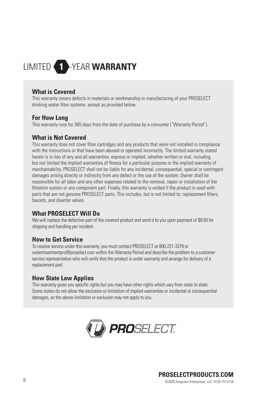# LIMITED -YEAR **WARRANTY**

#### **What is Covered**

This warranty covers defects in materials or workmanship in manufacturing of your PROSELECT drinking water filter systems, except as provided below.

#### **For How Long**

This warranty runs for 365 days from the date of purchase by a consumer ("Warranty Period").

#### **What is Not Covered**

This warranty does not cover filter cartridges and any products that were not installed in compliance with the instructions or that have been abused or operated incorrectly. The limited warranty stated herein is in lieu of any and all warranties, express or implied, whether written or oral, including but not limited the implied warranties of fitness for a particular purpose or the implied warranty of merchantability. PROSELECT shall not be liable for any incidental, consequential, special or contingent damages arising directly or indirectly from any defect or the use of the system. Owner shall be responsible for all labor and any other expenses related to the removal, repair or installation of the filtration system or any component part. Finally, this warranty is voided if the product is used with parts that are not genuine PROSELECT parts. This includes, but is not limited to: replacement filters, faucets, and diverter valves.

#### **What PROSELECT Will Do**

We will replace the defective part of the covered product and send it to you upon payment of \$9.50 for shipping and handling per incident.

#### **How to Get Service**

To receive service under this warranty, you must contact PROSELECT at 800-221-3379 or watertreatmentpro@proselect.com within the Warranty Period and describe the problem to a customer service representative who will verify that the product is under warranty and arrange for delivery of a replacement part.

#### **How State Law Applies**

This warranty gives you specific rights but you may have other rights which vary from state to state. Some states do not allow the exclusion or limitation of implied warranties or incidental or consequential damages, so the above limitation or exclusion may not apply to you.

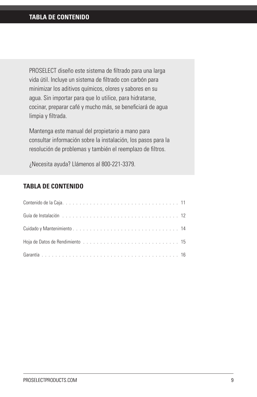PROSELECT diseño este sistema de filtrado para una larga vida útil. Incluye un sistema de filtrado con carbón para minimizar los aditivos químicos, olores y sabores en su agua. Sin importar para que lo utilice, para hidratarse, cocinar, preparar café y mucho más, se beneficiará de agua limpia y filtrada.

Mantenga este manual del propietario a mano para consultar información sobre la instalación, los pasos para la resolución de problemas y también el reemplazo de filtros.

¿Necesita ayuda? Llámenos al 800-221-3379.

### **TABLA DE CONTENIDO**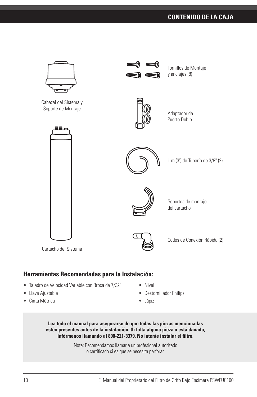# **CONTENIDO DE LA CAJA**



### **Herramientas Recomendadas para la Instalación:**

- Taladro de Velocidad Variable con Broca de 7/32"
- Llave Ajustable
- Cinta Métrica
- Nivel
- Destornillador Philips
- Lápiz



Nota: Recomendamos llamar a un profesional autorizado o certificado si es que se necesita perforar.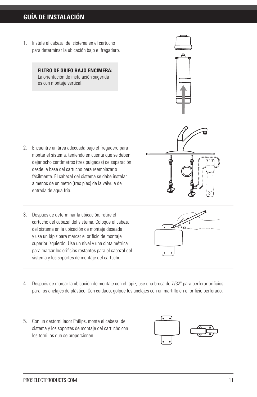# **GUÍA DE INSTALACIÓN**

1. Instale el cabezal del sistema en el cartucho para determinar la ubicación bajo el fregadero.

> **FILTRO DE GRIFO BAJO ENCIMERA:** La orientación de instalación sugerida es con montaje vertical.



- 2. Encuentre un área adecuada bajo el fregadero para montar el sistema, teniendo en cuenta que se deben dejar ocho centímetros (tres pulgadas) de separación desde la base del cartucho para reemplazarlo fácilmente. El cabezal del sistema se debe instalar a menos de un metro (tres pies) de la válvula de entrada de agua fría.
- 3. Después de determinar la ubicación, retire el cartucho del cabezal del sistema. Coloque el cabezal del sistema en la ubicación de montaje deseada y use un lápiz para marcar el orificio de montaje superior izquierdo. Use un nivel y una cinta métrica para marcar los orificios restantes para el cabezal del sistema y los soportes de montaje del cartucho.





- 4. Después de marcar la ubicación de montaje con el lápiz, use una broca de 7/32" para perforar orificios para los anclajes de plástico. Con cuidado, golpee los anclajes con un martillo en el orificio perforado.
- 5. Con un destornillador Philips, monte el cabezal del sistema y los soportes de montaje del cartucho con los tornillos que se proporcionan.

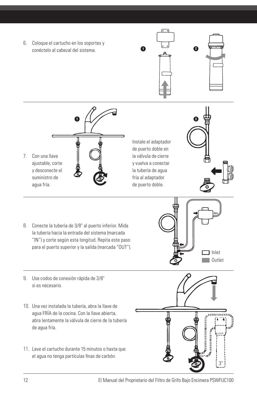6. Coloque el cartucho en los soportes y conéctelo al cabezal del sistema. **<sup>1</sup> <sup>2</sup>**





7. Con una llave ajustable, corte y desconecte el suministro de agua fría. **1 2**

Instale el adaptador de puerto doble en la válvula de cierre y vuelva a conectar la tubería de agua fría al adaptador de puerto doble.



8. Conecte la tubería de 3/8" al puerto inferior. Mida la tubería hacia la entrada del sistema (marcada "IN") y corte según esta longitud. Repita este paso para el puerto superior y la salida (marcada "OUT").



- 9. Use codos de conexión rápida de 3/8" si es necesario.
- 10. Una vez instalada la tubería, abra la llave de agua FRÍA de la cocina. Con la llave abierta, abra lentamente la válvula de cierre de la tubería de agua fría.
- 11. Lave el cartucho durante 15 minutos o hasta que el agua no tenga partículas finas de carbón.

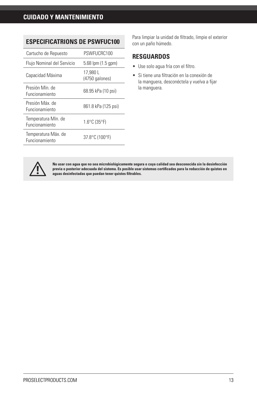#### **ESPECIFICATRIONS DE PSWFUC100**

| Cartucho de Repuesto                         | PSWFUCRC100                       |
|----------------------------------------------|-----------------------------------|
| Flujo Nominal del Servicio                   | 5.68 lpm (1.5 gpm)                |
| Capacidad Máxima                             | 17.980 L<br>(4750 galones)        |
| Presión Mín de<br>Funcionamiento             | 68.95 kPa (10 psi)                |
| Presión Máx de<br>Funcionamiento             | 861.8 kPa (125 psi)               |
| Temperatura Mín. de<br>Funcionamiento        | $1.6^{\circ}$ C (35 $^{\circ}$ F) |
| Temperatura Máx. de<br><b>Funcionamiento</b> | 37.8°C (100°F)                    |

Para limpiar la unidad de filtrado, limpie el exterior con un paño húmedo.

#### **RESGUARDOS**

- Use solo agua fría con el filtro.
- Si tiene una filtración en la conexión de la manguera, desconéctela y vuelva a fijar la manguera.



No usar con agua que no sea microbiológicamente segura o cuya calidad sea desconocida sin la desinfección<br>previa o posterior adecuada del sistema. Es posible usar sistemas certificados para la reducción de quistes en **aguas desinfectadas que puedan tener quistes filtrables.**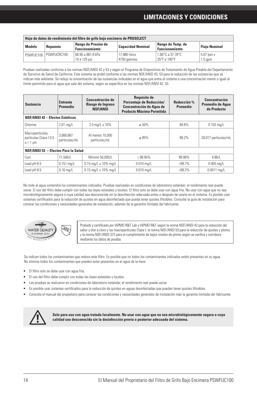# **LIMITACIONES Y CONDICIONES**

| Hoja de datos de rendimiento del filtro de grifo bajo encimera de PROSELECT |                       |                                   |                                            |                                  |                         |  |
|-----------------------------------------------------------------------------|-----------------------|-----------------------------------|--------------------------------------------|----------------------------------|-------------------------|--|
| Rango de Presión de<br><b>Models</b><br>Repuesto<br><b>Funcionamiento</b>   |                       | <b>Capacidad Nominal</b>          | Rango de Temp. de<br><b>Funcionamiento</b> | <b>Fluio Nominal</b>             |                         |  |
|                                                                             | PSWFUC100 PSWFUCRC100 | 68.95 a 861.8 kPa<br>10 a 125 psi | 17,980 litros<br>4750 galones              | 1.66°C a 37.78°C<br>35°F a 100°F | 5.67 lpm v<br>$1.5$ gpm |  |

Pruebas realizadas conforme a las normas NSF/ANSI 42 y 53 y según el Programa de Dispositivos de Tratamiento de Agua Potable del Departamento de Servicios de Salud de California. Este sistema se probó conforme a las normas NSF/ANSI 42, 53 para la reducción de las sustancias que se indican más adelante. Se redujo la concentración de las sustancias indicadas en el agua que entra al sistema a una concentración menor o igual al límite permitido para el agua que sale del sistema, según se especifica en las normas NSF/ANSI 42, 53.

| <b>Sustancia</b>                                            | <b>Entrante</b><br>Promedio | Concentración de<br>Riesgo de Ingreso<br><b>NSF/ANSI</b> | <b>Requisito de</b><br>Porcentaje de Reducción/<br><b>Concentración de Agua de</b><br><b>Producto Máxima Permitida</b> | Reducción %<br>Promedio | Concentración<br>Promedio de Agua<br>de Producto |  |
|-------------------------------------------------------------|-----------------------------|----------------------------------------------------------|------------------------------------------------------------------------------------------------------------------------|-------------------------|--------------------------------------------------|--|
| <b>NSF/ANSI 42 - Efectos Estéticos</b>                      |                             |                                                          |                                                                                                                        |                         |                                                  |  |
| Chlorine                                                    | $2.01$ mg/L                 | $2.0 \text{ mg/L} \pm 10\%$                              | $\geq 50\%$                                                                                                            | 94.8%                   | $0.103$ mg/L                                     |  |
| Macropartículas,<br>partículas Clase   0.5<br>$a < 1 \mu m$ | 3.666.667<br>partículas/mL  | Al menos 10,000<br>partículas/mL                         | $\geq 85\%$                                                                                                            | 99.2%                   | 28,017 partículas/mL                             |  |
| NSF/ANSI 53 - Efectos Para la Salud                         |                             |                                                          |                                                                                                                        |                         |                                                  |  |
| Cyst                                                        | 71.500/L                    | Mínimo 50.000/L                                          | >99.95%                                                                                                                | 99.99%                  | 4.88/L                                           |  |
| Lead pH 6.5                                                 | $0.151$ mg/L                | $0.15$ mg/L $\pm$ 10% mg/L                               | $0.010$ mg/L                                                                                                           | $>99.7\%$               | $0.005$ mg/L                                     |  |
| Lead pH 8.5                                                 | $0.16$ ma/L                 | $0.15$ ma/L $\pm$ 10% ma/L                               | $0.010$ ma/L                                                                                                           | $>99.2\%$               | $0.0011$ ma/L                                    |  |

No toda el agua contendrá los contaminantes indicados. Pruebas realizadas en condiciones de laboratorio estándar; el rendimiento real puede variar. El uso del filtro debe cumplir con todas las leyes estatales y locales. El filtro solo se debe usar con agua fría. No usar con agua que no sea microbiológicamente segura o cuya calidad sea desconocida sin la desinfección adecuada antes o después de usarla en el sistema. Es posible usar sistemas certificados para la reducción de quistes en agua desinfectada que pueda tener quistes filtrables. Consulte la guía de instalación para conocer las condiciones y necesidades generales de instalación, además de la garantía limitada del fabricante.



Probado y certificado por IAPMO R&T Lab y IAPMO R&T según la norma NSF/ANSI 42 para la reducción del sabor y olor a cloro y las macropartículas Clase I; la norma NSF/ANSI 53 para la reducción de quistes y plomo, y la norma NSF/ANSI 372 para el cumplimiento de bajos niveles de plomo según se verifica y corrobora mediante los datos de prueba.

Se indican todos los contaminantes que reduce este filtro. Es posible que no todos los contaminantes indicados estén presentes en su agua. No elimina todos los contaminantes que pueden estar presentes en el agua de la llave.

- El filtro solo se debe usar con agua fría.
- El uso del filtro debe cumplir con todas las leyes estatales y locales.
- Las pruebas se realizaron en condiciones de laboratorio estándar, el rendimiento real puede variar.
- Es posible usar sistemas certificados para la reducción de quistes en aguas desinfectadas que puedan tener quistes filtrables.
- Consulte el manual del propietario para conocer las condiciones y necesidades generales de instalación más la garantía limitada del fabricante.



**Solo para uso con agua tratada localmente. No usar con agua que no sea microbiológicamente segura o cuya calidad sea desconocida sin la desinfección previa o posterior adecuada del sistema.**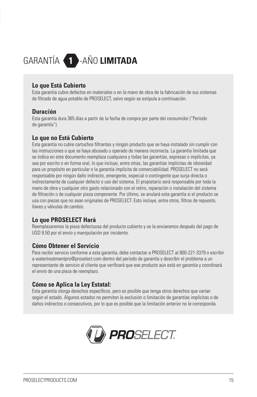# GARANTÍA -AÑO **LIMITADA**

#### **Lo que Está Cubierto**

Esta garantía cubre defectos en materiales o en la mano de obra de la fabricación de sus sistemas de filtrado de agua potable de PROSELECT, salvo según se estipula a continuación.

#### **Duración**

Esta garantía dura 365 días a partir de la fecha de compra por parte del consumidor ("Período de garantía").

### **Lo que no Está Cubierto**

Esta garantía no cubre cartuchos filtrantes y ningún producto que se haya instalado sin cumplir con las instrucciones o que se haya abusado u operado de manera incorrecta. La garantía limitada que se indica en este documento reemplaza cualquiera y todas las garantías, expresas o implícitas, ya sea por escrito o en forma oral, lo que incluye, entre otras, las garantías implícitas de idoneidad para un propósito en particular o la garantía implícita de comerciabilidad. PROSELECT no será responsable por ningún daño indirecto, emergente, especial o contingente que surja directa o indirectamente de cualquier defecto o uso del sistema. El propietario será responsable por toda la mano de obra y cualquier otro gasto relacionado con el retiro, reparación o instalación del sistema de filtración o de cualquier pieza componente. Por último, se anulará esta garantía si el producto se usa con piezas que no sean originales de PROSELECT. Esto incluye, entre otros, filtros de repuesto, llaves y válvulas de cambio.

### **Lo que PROSELECT Hará**

Reemplazaremos la pieza defectuosa del producto cubierto y se la enviaremos después del pago de USD 9.50 por el envío y manipulación por incidente.

#### **Cómo Obtener el Servicio**

Para recibir servicio conforme a esta garantía, debe contactar a PROSELECT al 800-221-3379 o escribir a watertreatmentpro@proselect.com dentro del periodo de garantía y describir el problema a un representante de servicio al cliente que verificará que ese producto aún está en garantía y coordinará el envío de una pieza de reemplazo.

#### **Cómo se Aplica la Ley Estatal:**

Esta garantía otorga derechos específicos, pero es posible que tenga otros derechos que varían según el estado. Algunos estados no permiten la exclusión o limitación de garantías implícitas o de daños indirectos o consecutivos, por lo que es posible que la limitación anterior no le corresponda.